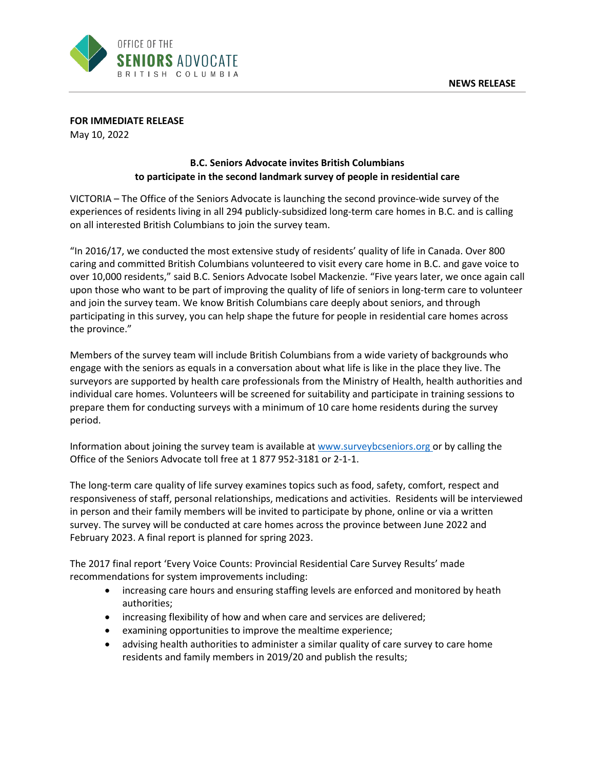

**FOR IMMEDIATE RELEASE**

May 10, 2022

## **B.C. Seniors Advocate invites British Columbians to participate in the second landmark survey of people in residential care**

VICTORIA – The Office of the Seniors Advocate is launching the second province-wide survey of the experiences of residents living in all 294 publicly-subsidized long-term care homes in B.C. and is calling on all interested British Columbians to join the survey team.

"In 2016/17, we conducted the most extensive study of residents' quality of life in Canada. Over 800 caring and committed British Columbians volunteered to visit every care home in B.C. and gave voice to over 10,000 residents," said B.C. Seniors Advocate Isobel Mackenzie. "Five years later, we once again call upon those who want to be part of improving the quality of life of seniors in long-term care to volunteer and join the survey team. We know British Columbians care deeply about seniors, and through participating in this survey, you can help shape the future for people in residential care homes across the province."

Members of the survey team will include British Columbians from a wide variety of backgrounds who engage with the seniors as equals in a conversation about what life is like in the place they live. The surveyors are supported by health care professionals from the Ministry of Health, health authorities and individual care homes. Volunteers will be screened for suitability and participate in training sessions to prepare them for conducting surveys with a minimum of 10 care home residents during the survey period.

Information about joining the survey team is available at [www.surveybcseniors.org](http://www.surveybcseniors.org/) or by calling the Office of the Seniors Advocate toll free at 1 877 952-3181 or 2-1-1.

The long-term care quality of life survey examines topics such as food, safety, comfort, respect and responsiveness of staff, personal relationships, medications and activities. Residents will be interviewed in person and their family members will be invited to participate by phone, online or via a written survey. The survey will be conducted at care homes across the province between June 2022 and February 2023. A final report is planned for spring 2023.

The 2017 final report 'Every Voice Counts: Provincial Residential Care Survey Results' made recommendations for system improvements including:

- increasing care hours and ensuring staffing levels are enforced and monitored by heath authorities;
- increasing flexibility of how and when care and services are delivered;
- examining opportunities to improve the mealtime experience;
- advising health authorities to administer a similar quality of care survey to care home residents and family members in 2019/20 and publish the results;